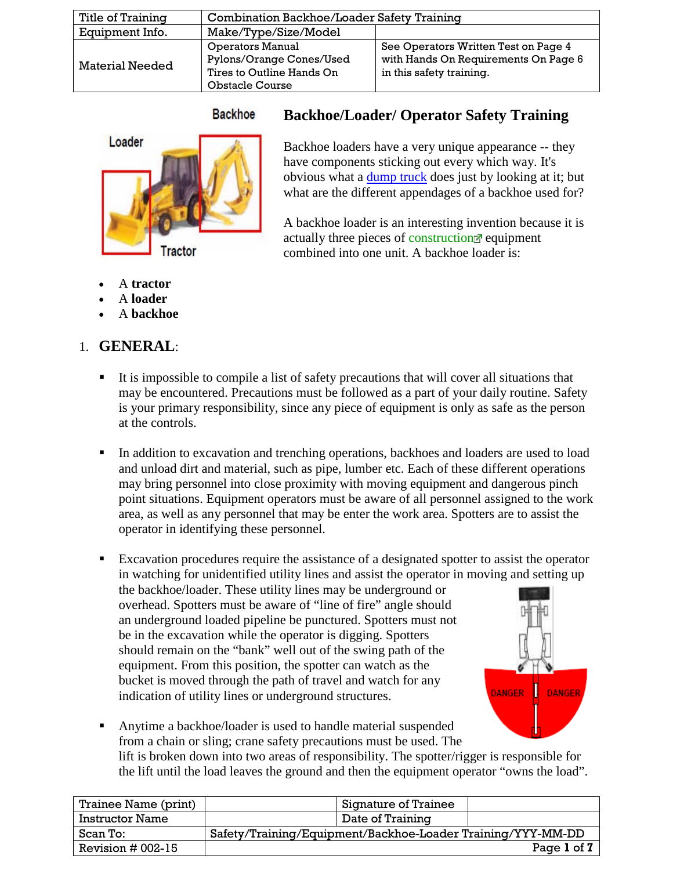| Title of Training      | Combination Backhoe/Loader Safety Training                                                                 |                                                                                                          |
|------------------------|------------------------------------------------------------------------------------------------------------|----------------------------------------------------------------------------------------------------------|
| Equipment Info.        | Make/Type/Size/Model                                                                                       |                                                                                                          |
| <b>Material Needed</b> | <b>Operators Manual</b><br>Pylons/Orange Cones/Used<br>Tires to Outline Hands On<br><b>Obstacle Course</b> | See Operators Written Test on Page 4<br>with Hands On Requirements On Page 6<br>in this safety training. |

#### **Backhoe**

## **Backhoe/Loader/ Operator Safety Training**



Backhoe loaders have a very unique appearance -- they have components sticking out every which way. It's obvious what a [dump truck](http://science.howstuffworks.com/transport/engines-equipment/hydraulic5.htm) does just by looking at it; but what are the different appendages of a backhoe used for?

A backhoe loader is an interesting invention because it is actually three pieces of [construction](http://science.howstuffworks.com/transport/engines-equipment/backhoe-loader1.htm) equipment combined into one unit. A backhoe loader is:

- A **tractor**
- A **loader**
- A **backhoe**

# 1. **GENERAL**:

- It is impossible to compile a list of safety precautions that will cover all situations that may be encountered. Precautions must be followed as a part of your daily routine. Safety is your primary responsibility, since any piece of equipment is only as safe as the person at the controls.
- In addition to excavation and trenching operations, backhoes and loaders are used to load and unload dirt and material, such as pipe, lumber etc. Each of these different operations may bring personnel into close proximity with moving equipment and dangerous pinch point situations. Equipment operators must be aware of all personnel assigned to the work area, as well as any personnel that may be enter the work area. Spotters are to assist the operator in identifying these personnel.
- Excavation procedures require the assistance of a designated spotter to assist the operator in watching for unidentified utility lines and assist the operator in moving and setting up the backhoe/loader. These utility lines may be underground or overhead. Spotters must be aware of "line of fire" angle should an underground loaded pipeline be punctured. Spotters must not be in the excavation while the operator is digging. Spotters should remain on the "bank" well out of the swing path of the equipment. From this position, the spotter can watch as the bucket is moved through the path of travel and watch for any **DANGER DANGER** indication of utility lines or underground structures.
	-
- Anytime a backhoe/loader is used to handle material suspended from a chain or sling; crane safety precautions must be used. The lift is broken down into two areas of responsibility. The spotter/rigger is responsible for the lift until the load leaves the ground and then the equipment operator "owns the load".

| Trainee Name (print)   |                                                             | Signature of Trainee |             |
|------------------------|-------------------------------------------------------------|----------------------|-------------|
| <b>Instructor Name</b> |                                                             | Date of Training     |             |
| Scan To:               | Safety/Training/Equipment/Backhoe-Loader Training/YYY-MM-DD |                      |             |
| Revision $#002-15$     |                                                             |                      | Page 1 of 7 |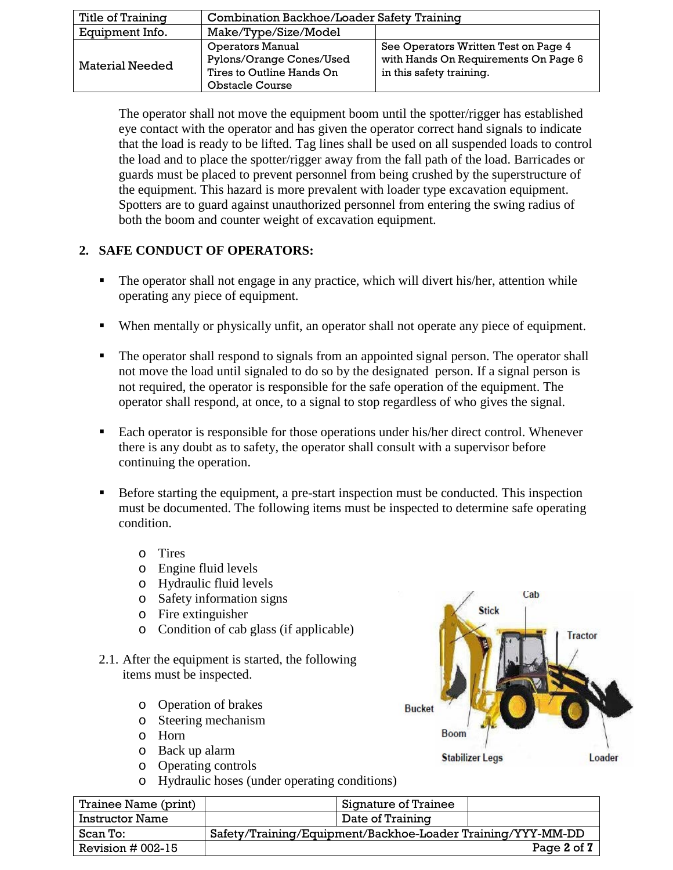| Title of Training      | <b>Combination Backhoe/Loader Safety Training</b>                                                          |                                                                                                          |  |
|------------------------|------------------------------------------------------------------------------------------------------------|----------------------------------------------------------------------------------------------------------|--|
| Equipment Info.        | Make/Type/Size/Model                                                                                       |                                                                                                          |  |
| <b>Material Needed</b> | <b>Operators Manual</b><br>Pylons/Orange Cones/Used<br>Tires to Outline Hands On<br><b>Obstacle Course</b> | See Operators Written Test on Page 4<br>with Hands On Requirements On Page 6<br>in this safety training. |  |

The operator shall not move the equipment boom until the spotter/rigger has established eye contact with the operator and has given the operator correct hand signals to indicate that the load is ready to be lifted. Tag lines shall be used on all suspended loads to control the load and to place the spotter/rigger away from the fall path of the load. Barricades or guards must be placed to prevent personnel from being crushed by the superstructure of the equipment. This hazard is more prevalent with loader type excavation equipment. Spotters are to guard against unauthorized personnel from entering the swing radius of both the boom and counter weight of excavation equipment.

## **2. SAFE CONDUCT OF OPERATORS:**

- The operator shall not engage in any practice, which will divert his/her, attention while operating any piece of equipment.
- When mentally or physically unfit, an operator shall not operate any piece of equipment.
- The operator shall respond to signals from an appointed signal person. The operator shall not move the load until signaled to do so by the designated person. If a signal person is not required, the operator is responsible for the safe operation of the equipment. The operator shall respond, at once, to a signal to stop regardless of who gives the signal.
- Each operator is responsible for those operations under his/her direct control. Whenever there is any doubt as to safety, the operator shall consult with a supervisor before continuing the operation.
- Before starting the equipment, a pre-start inspection must be conducted. This inspection must be documented. The following items must be inspected to determine safe operating condition.
	- o Tires
	- o Engine fluid levels
	- o Hydraulic fluid levels
	- o Safety information signs
	- o Fire extinguisher
	- o Condition of cab glass (if applicable)
- 2.1. After the equipment is started, the following items must be inspected.
	- o Operation of brakes
	- o Steering mechanism
	- o Horn
	- o Back up alarm
	- o Operating controls
	- o Hydraulic hoses (under operating conditions)



| Trainee Name (print)   | Signature of Trainee                                        |
|------------------------|-------------------------------------------------------------|
| <b>Instructor Name</b> | Date of Training                                            |
| Scan To:               | Safety/Training/Equipment/Backhoe-Loader Training/YYY-MM-DD |
| Revision $#002-15$     | Page 2 of 7                                                 |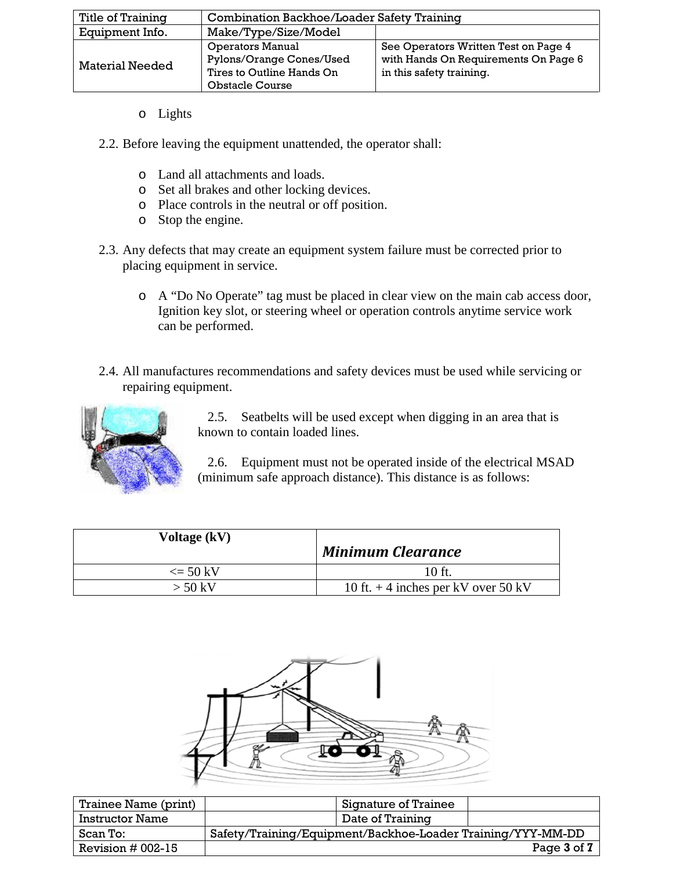| Title of Training      | Combination Backhoe/Loader Safety Training                                                                 |                                                                                                          |  |
|------------------------|------------------------------------------------------------------------------------------------------------|----------------------------------------------------------------------------------------------------------|--|
| Equipment Info.        | Make/Type/Size/Model                                                                                       |                                                                                                          |  |
| <b>Material Needed</b> | <b>Operators Manual</b><br>Pylons/Orange Cones/Used<br>Tires to Outline Hands On<br><b>Obstacle Course</b> | See Operators Written Test on Page 4<br>with Hands On Requirements On Page 6<br>in this safety training. |  |

- o Lights
- 2.2. Before leaving the equipment unattended, the operator shall:
	- o Land all attachments and loads.
	- o Set all brakes and other locking devices.
	- o Place controls in the neutral or off position.
	- o Stop the engine.
- 2.3. Any defects that may create an equipment system failure must be corrected prior to placing equipment in service.
	- o A "Do No Operate" tag must be placed in clear view on the main cab access door, Ignition key slot, or steering wheel or operation controls anytime service work can be performed.
- 2.4. All manufactures recommendations and safety devices must be used while servicing or repairing equipment.



2.5. Seatbelts will be used except when digging in an area that is known to contain loaded lines.

2.6. Equipment must not be operated inside of the electrical MSAD (minimum safe approach distance). This distance is as follows:

| Voltage (kV)               | <b>Minimum Clearance</b>              |
|----------------------------|---------------------------------------|
| $\epsilon = 50 \text{ kV}$ | $10$ ft.                              |
| $>$ 50 kV                  | 10 ft. $+$ 4 inches per kV over 50 kV |



| Trainee Name (print)   | Signature of Trainee                                        |
|------------------------|-------------------------------------------------------------|
| <b>Instructor Name</b> | Date of Training                                            |
| Scan To:               | Safety/Training/Equipment/Backhoe-Loader Training/YYY-MM-DD |
| Revision $#002-15$     | Page 3 of 7                                                 |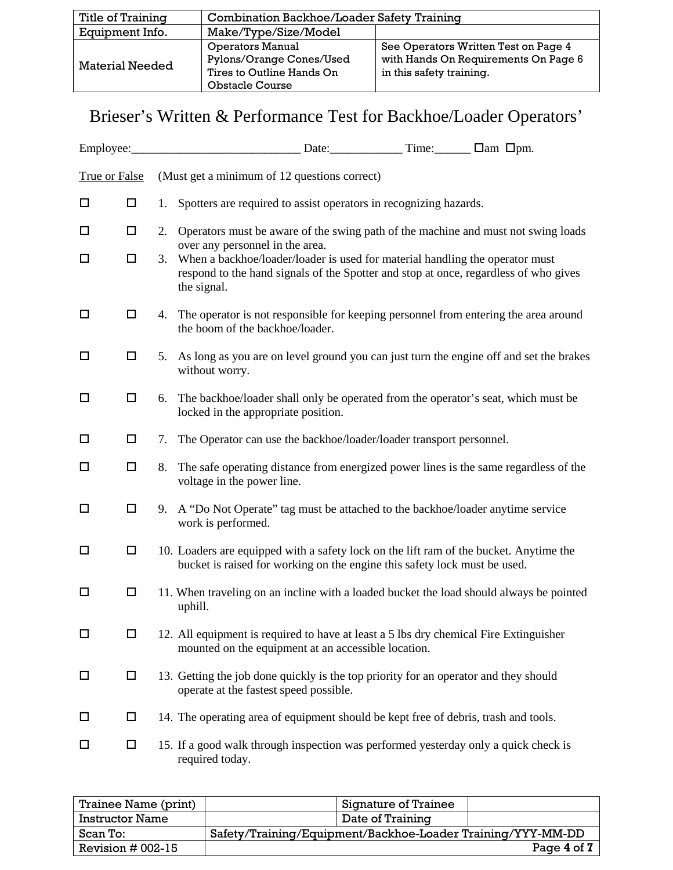| Title of Training      | Combination Backhoe/Loader Safety Training                                                                 |                                                                                                          |
|------------------------|------------------------------------------------------------------------------------------------------------|----------------------------------------------------------------------------------------------------------|
| Equipment Info.        | Make/Type/Size/Model                                                                                       |                                                                                                          |
| <b>Material Needed</b> | <b>Operators Manual</b><br>Pylons/Orange Cones/Used<br>Tires to Outline Hands On<br><b>Obstacle Course</b> | See Operators Written Test on Page 4<br>with Hands On Requirements On Page 6<br>in this safety training. |

# Brieser's Written & Performance Test for Backhoe/Loader Operators'

| Employee:            |        |    |                                                                                                                                                                                     |  |
|----------------------|--------|----|-------------------------------------------------------------------------------------------------------------------------------------------------------------------------------------|--|
| <b>True or False</b> |        |    | (Must get a minimum of 12 questions correct)                                                                                                                                        |  |
| □                    | □      | 1. | Spotters are required to assist operators in recognizing hazards.                                                                                                                   |  |
| □                    | $\Box$ | 2. | Operators must be aware of the swing path of the machine and must not swing loads<br>over any personnel in the area.                                                                |  |
| ◻                    | $\Box$ | 3. | When a backhoe/loader/loader is used for material handling the operator must<br>respond to the hand signals of the Spotter and stop at once, regardless of who gives<br>the signal. |  |
| $\Box$               | $\Box$ | 4. | The operator is not responsible for keeping personnel from entering the area around<br>the boom of the backhoe/loader.                                                              |  |
| □                    | □      | 5. | As long as you are on level ground you can just turn the engine off and set the brakes<br>without worry.                                                                            |  |
| □                    | □      | 6. | The backhoe/loader shall only be operated from the operator's seat, which must be<br>locked in the appropriate position.                                                            |  |
| □                    | □      | 7. | The Operator can use the backhoe/loader/loader transport personnel.                                                                                                                 |  |
| □                    | $\Box$ | 8. | The safe operating distance from energized power lines is the same regardless of the<br>voltage in the power line.                                                                  |  |
| □                    | $\Box$ | 9. | A "Do Not Operate" tag must be attached to the backhoe/loader anytime service<br>work is performed.                                                                                 |  |
| □                    | $\Box$ |    | 10. Loaders are equipped with a safety lock on the lift ram of the bucket. Anytime the<br>bucket is raised for working on the engine this safety lock must be used.                 |  |
| □                    | □      |    | 11. When traveling on an incline with a loaded bucket the load should always be pointed<br>uphill.                                                                                  |  |
| □                    | $\Box$ |    | 12. All equipment is required to have at least a 5 lbs dry chemical Fire Extinguisher<br>mounted on the equipment at an accessible location.                                        |  |
| □                    | $\Box$ |    | 13. Getting the job done quickly is the top priority for an operator and they should<br>operate at the fastest speed possible.                                                      |  |
| □                    | □      |    | 14. The operating area of equipment should be kept free of debris, trash and tools.                                                                                                 |  |
| □                    | $\Box$ |    | 15. If a good walk through inspection was performed yesterday only a quick check is<br>required today.                                                                              |  |

| Trainee Name (print)   | Signature of Trainee                                        |             |
|------------------------|-------------------------------------------------------------|-------------|
| <b>Instructor Name</b> | Date of Training                                            |             |
| Scan To:               | Safety/Training/Equipment/Backhoe-Loader Training/YYY-MM-DD |             |
| Revision $#002-15$     |                                                             | Page 4 of 7 |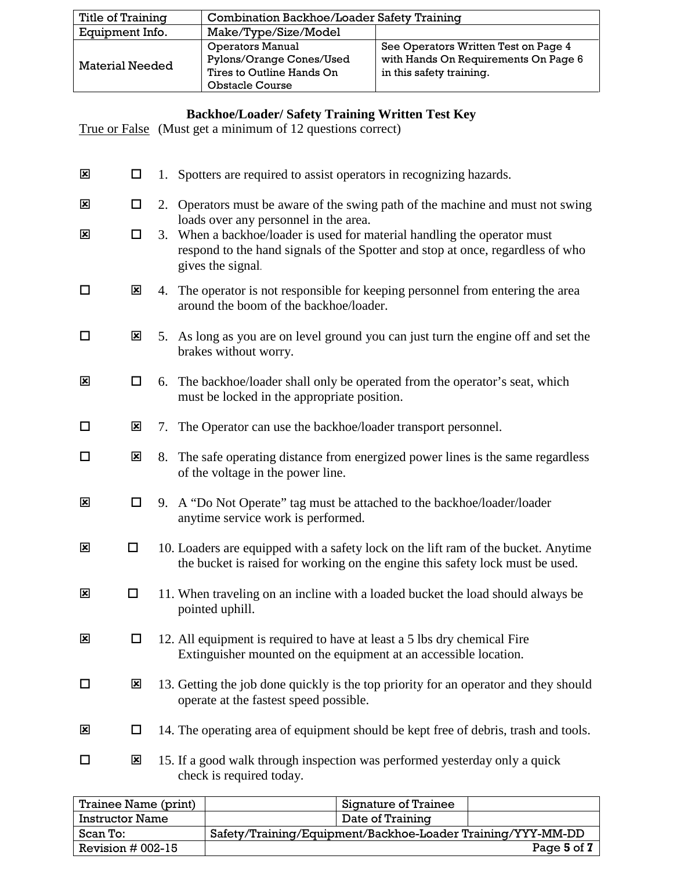| Title of Training      | Combination Backhoe/Loader Safety Training                                                                 |                                                                                                          |  |
|------------------------|------------------------------------------------------------------------------------------------------------|----------------------------------------------------------------------------------------------------------|--|
| Equipment Info.        | Make/Type/Size/Model                                                                                       |                                                                                                          |  |
| <b>Material Needed</b> | <b>Operators Manual</b><br>Pylons/Orange Cones/Used<br>Tires to Outline Hands On<br><b>Obstacle Course</b> | See Operators Written Test on Page 4<br>with Hands On Requirements On Page 6<br>in this safety training. |  |

### **Backhoe/Loader/ Safety Training Written Test Key**

True or False (Must get a minimum of 12 questions correct)

| $\mathbf{x}$            | □                       |    | 1. Spotters are required to assist operators in recognizing hazards.                                                                                                                                                     |
|-------------------------|-------------------------|----|--------------------------------------------------------------------------------------------------------------------------------------------------------------------------------------------------------------------------|
| ⊠                       | $\Box$                  |    | 2. Operators must be aware of the swing path of the machine and must not swing                                                                                                                                           |
| $\mathbf{x}$            | □                       |    | loads over any personnel in the area.<br>3. When a backhoe/loader is used for material handling the operator must<br>respond to the hand signals of the Spotter and stop at once, regardless of who<br>gives the signal. |
| □                       | $\mathbf{x}$            |    | 4. The operator is not responsible for keeping personnel from entering the area<br>around the boom of the backhoe/loader.                                                                                                |
| $\Box$                  | $\mathbf{x}$            |    | 5. As long as you are on level ground you can just turn the engine off and set the<br>brakes without worry.                                                                                                              |
| $\mathbf{x}$            | $\Box$                  | 6. | The backhoe/loader shall only be operated from the operator's seat, which<br>must be locked in the appropriate position.                                                                                                 |
| $\Box$                  | ⊠                       |    | 7. The Operator can use the backhoe/loader transport personnel.                                                                                                                                                          |
| □                       | $\mathbf{x}$            | 8. | The safe operating distance from energized power lines is the same regardless<br>of the voltage in the power line.                                                                                                       |
| $\mathbf{x}$            | $\Box$                  |    | 9. A "Do Not Operate" tag must be attached to the backhoe/loader/loader<br>anytime service work is performed.                                                                                                            |
| $\mathbf{x}$            | $\Box$                  |    | 10. Loaders are equipped with a safety lock on the lift ram of the bucket. Anytime<br>the bucket is raised for working on the engine this safety lock must be used.                                                      |
| $\mathbf{x}$            | $\Box$                  |    | 11. When traveling on an incline with a loaded bucket the load should always be<br>pointed uphill.                                                                                                                       |
| $\overline{\mathbf{x}}$ | □                       |    | 12. All equipment is required to have at least a 5 lbs dry chemical Fire<br>Extinguisher mounted on the equipment at an accessible location.                                                                             |
| □                       | $\mathbf{x}$            |    | 13. Getting the job done quickly is the top priority for an operator and they should<br>operate at the fastest speed possible.                                                                                           |
| $\mathbf{x}$            | $\Box$                  |    | 14. The operating area of equipment should be kept free of debris, trash and tools.                                                                                                                                      |
| □                       | $\overline{\mathbf{x}}$ |    | 15. If a good walk through inspection was performed yesterday only a quick<br>check is required today.                                                                                                                   |

| Trainee Name (print)   |                                                             | Signature of Trainee |             |
|------------------------|-------------------------------------------------------------|----------------------|-------------|
| <b>Instructor Name</b> |                                                             | Date of Training     |             |
| Scan To:               | Safety/Training/Equipment/Backhoe-Loader Training/YYY-MM-DD |                      |             |
| Revision $#002-15$     |                                                             |                      | Page 5 of 7 |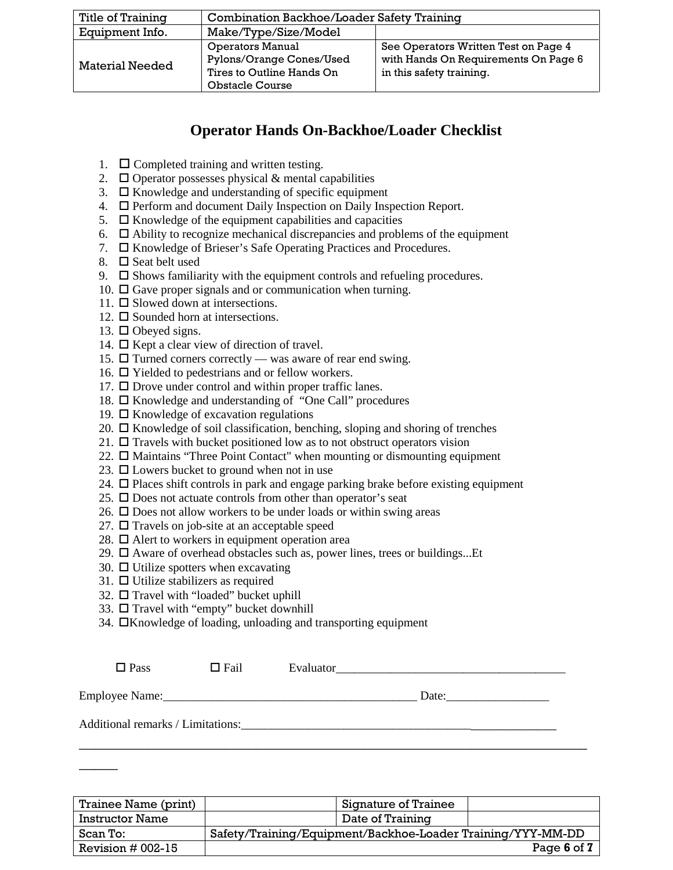| Title of Training      | Combination Backhoe/Loader Safety Training                                                                 |                                                                                                          |  |
|------------------------|------------------------------------------------------------------------------------------------------------|----------------------------------------------------------------------------------------------------------|--|
| Equipment Info.        | Make/Type/Size/Model                                                                                       |                                                                                                          |  |
| <b>Material Needed</b> | <b>Operators Manual</b><br>Pylons/Orange Cones/Used<br>Tires to Outline Hands On<br><b>Obstacle Course</b> | See Operators Written Test on Page 4<br>with Hands On Requirements On Page 6<br>in this safety training. |  |

## **Operator Hands On-Backhoe/Loader Checklist**

- 1.  $\Box$  Completed training and written testing.
- 2.  $\Box$  Operator possesses physical & mental capabilities
- 3.  $\Box$  Knowledge and understanding of specific equipment
- 4.  $\Box$  Perform and document Daily Inspection on Daily Inspection Report.
- 5.  $\Box$  Knowledge of the equipment capabilities and capacities
- 6.  $\Box$  Ability to recognize mechanical discrepancies and problems of the equipment
- 7.  $\Box$  Knowledge of Brieser's Safe Operating Practices and Procedures.
- 8.  $\Box$  Seat belt used
- 9.  $\Box$  Shows familiarity with the equipment controls and refueling procedures.
- 10.  $\Box$  Gave proper signals and or communication when turning.
- 11.  $\Box$  Slowed down at intersections.
- 12.  $\Box$  Sounded horn at intersections.
- 13.  $\Box$  Obeyed signs.
- 14.  $\Box$  Kept a clear view of direction of travel.
- 15.  $\Box$  Turned corners correctly was aware of rear end swing.
- 16.  $\Box$  Yielded to pedestrians and or fellow workers.
- 17.  $\Box$  Drove under control and within proper traffic lanes.
- 18.  $\Box$  Knowledge and understanding of "One Call" procedures
- 19.  $\Box$  Knowledge of excavation regulations
- 20.  $\Box$  Knowledge of soil classification, benching, sloping and shoring of trenches
- 21.  $\Box$  Travels with bucket positioned low as to not obstruct operators vision
- 22.  $\Box$  Maintains "Three Point Contact" when mounting or dismounting equipment
- 23.  $\Box$  Lowers bucket to ground when not in use
- 24.  $\Box$  Places shift controls in park and engage parking brake before existing equipment
- 25.  $\Box$  Does not actuate controls from other than operator's seat
- 26.  $\Box$  Does not allow workers to be under loads or within swing areas
- 27.  $\Box$  Travels on job-site at an acceptable speed
- 28.  $\Box$  Alert to workers in equipment operation area
- 29.  $\Box$  Aware of overhead obstacles such as, power lines, trees or buildings...Et
- 30.  $\Box$  Utilize spotters when excavating
- 31.  $\Box$  Utilize stabilizers as required
- 32.  $\Box$  Travel with "loaded" bucket uphill
- 33. □ Travel with "empty" bucket downhill
- 34.  $\Box$ Knowledge of loading, unloading and transporting equipment

| $\square$ Pass | $\Box$ Fail | Evaluator |  |
|----------------|-------------|-----------|--|
| Employee Name: |             | Date:     |  |

\_\_\_\_\_\_\_\_\_\_\_\_\_\_\_\_\_\_\_\_\_\_\_\_\_\_\_\_\_\_\_\_\_\_\_\_\_\_\_\_\_\_\_\_\_\_\_\_\_\_\_\_\_\_\_\_\_\_\_\_\_\_\_\_\_\_

Additional remarks / Limitations:

 $\overline{\phantom{a}}$ 

| Trainee Name (print)   | Signature of Trainee                                        |  |
|------------------------|-------------------------------------------------------------|--|
| <b>Instructor Name</b> | Date of Training                                            |  |
| Scan To:               | Safety/Training/Equipment/Backhoe-Loader Training/YYY-MM-DD |  |
| Revision $#002-15$     | Page 6 of 7                                                 |  |